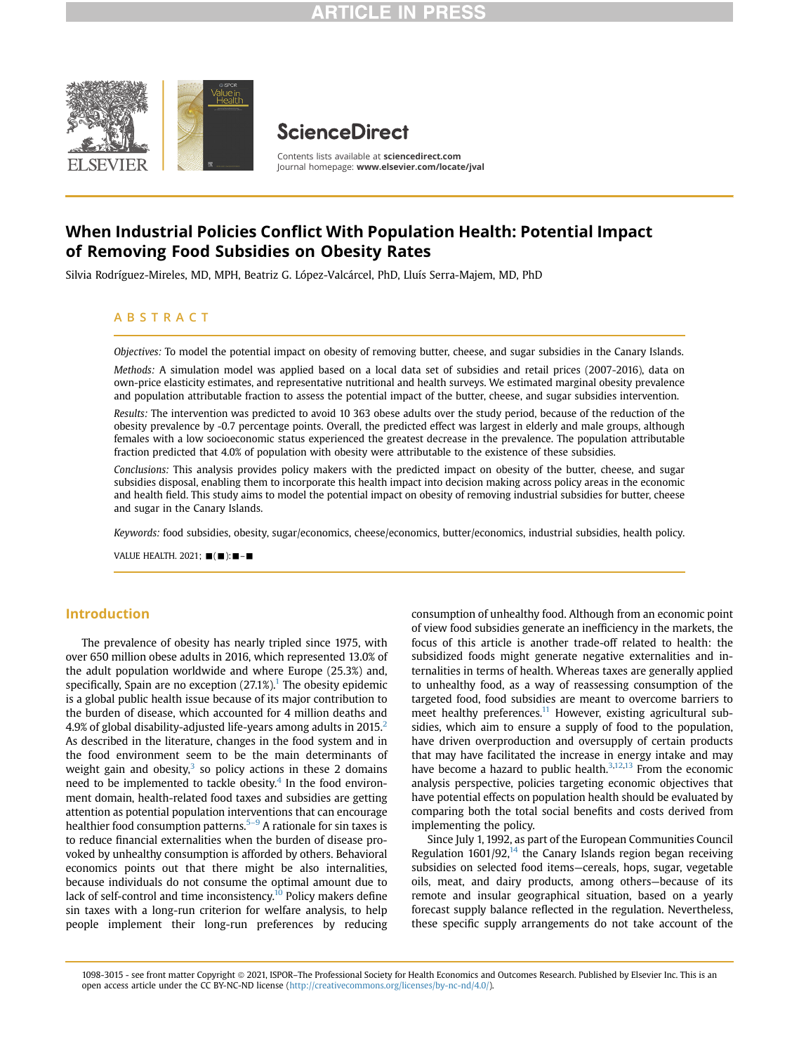

# **ScienceDirect**

Contents lists available at [sciencedirect.com](www.sciencedirect.com) Journal homepage: <www.elsevier.com/locate/jval>

# When Industrial Policies Conflict With Population Health: Potential Impact of Removing Food Subsidies on Obesity Rates

Silvia Rodríguez-Mireles, MD, MPH, Beatriz G. López-Valcárcel, PhD, Lluís Serra-Majem, MD, PhD

# ABSTRACT

Objectives: To model the potential impact on obesity of removing butter, cheese, and sugar subsidies in the Canary Islands.

Methods: A simulation model was applied based on a local data set of subsidies and retail prices (2007-2016), data on own-price elasticity estimates, and representative nutritional and health surveys. We estimated marginal obesity prevalence and population attributable fraction to assess the potential impact of the butter, cheese, and sugar subsidies intervention.

Results: The intervention was predicted to avoid 10 363 obese adults over the study period, because of the reduction of the obesity prevalence by -0.7 percentage points. Overall, the predicted effect was largest in elderly and male groups, although females with a low socioeconomic status experienced the greatest decrease in the prevalence. The population attributable fraction predicted that 4.0% of population with obesity were attributable to the existence of these subsidies.

Conclusions: This analysis provides policy makers with the predicted impact on obesity of the butter, cheese, and sugar subsidies disposal, enabling them to incorporate this health impact into decision making across policy areas in the economic and health field. This study aims to model the potential impact on obesity of removing industrial subsidies for butter, cheese and sugar in the Canary Islands.

Keywords: food subsidies, obesity, sugar/economics, cheese/economics, butter/economics, industrial subsidies, health policy.

VALUE HEALTH, 2021;  $\blacksquare$ ( $\blacksquare$ ):  $\blacksquare$  - $\blacksquare$ 

# Introduction

The prevalence of obesity has nearly tripled since 1975, with over 650 million obese adults in 2016, which represented 13.0% of the adult population worldwide and where Europe (25.3%) and, specifically, Spain are no exception  $(27.1\%)$  $(27.1\%)$  $(27.1\%)$ . The obesity epidemic is a global public health issue because of its major contribution to the burden of disease, which accounted for 4 million deaths and 4.9% of global disability-adjusted life-years among adults in [2](#page-6-1)015. $^2$ As described in the literature, changes in the food system and in the food environment seem to be the main determinants of weight gain and obesity, $3$  so policy actions in these 2 domains need to be implemented to tackle obesity. $4$  In the food environment domain, health-related food taxes and subsidies are getting attention as potential population interventions that can encourage healthier food consumption patterns.<sup>5-9</sup> A rationale for sin taxes is to reduce financial externalities when the burden of disease provoked by unhealthy consumption is afforded by others. Behavioral economics points out that there might be also internalities, because individuals do not consume the optimal amount due to lack of self-control and time inconsistency.<sup>10</sup> Policy makers define sin taxes with a long-run criterion for welfare analysis, to help people implement their long-run preferences by reducing consumption of unhealthy food. Although from an economic point of view food subsidies generate an inefficiency in the markets, the focus of this article is another trade-off related to health: the subsidized foods might generate negative externalities and internalities in terms of health. Whereas taxes are generally applied to unhealthy food, as a way of reassessing consumption of the targeted food, food subsidies are meant to overcome barriers to meet healthy preferences.<sup>11</sup> However, existing agricultural subsidies, which aim to ensure a supply of food to the population, have driven overproduction and oversupply of certain products that may have facilitated the increase in energy intake and may have become a hazard to public health.<sup>[3,](#page-6-2)[12](#page-7-2),[13](#page-7-3)</sup> From the economic analysis perspective, policies targeting economic objectives that have potential effects on population health should be evaluated by comparing both the total social benefits and costs derived from implementing the policy.

Since July 1, 1992, as part of the European Communities Council Regulation  $1601/92$ ,<sup>14</sup> the Canary Islands region began receiving subsidies on selected food items—cereals, hops, sugar, vegetable oils, meat, and dairy products, among others—because of its remote and insular geographical situation, based on a yearly forecast supply balance reflected in the regulation. Nevertheless, these specific supply arrangements do not take account of the

<sup>1098-3015 -</sup> see front matter Copyright @ 2021, ISPOR–The Professional Society for Health Economics and Outcomes Research. Published by Elsevier Inc. This is an open access article under the CC BY-NC-ND license [\(http://creativecommons.org/licenses/by-nc-nd/4.0/\)](http://creativecommons.org/licenses/by-nc-nd/4.0/).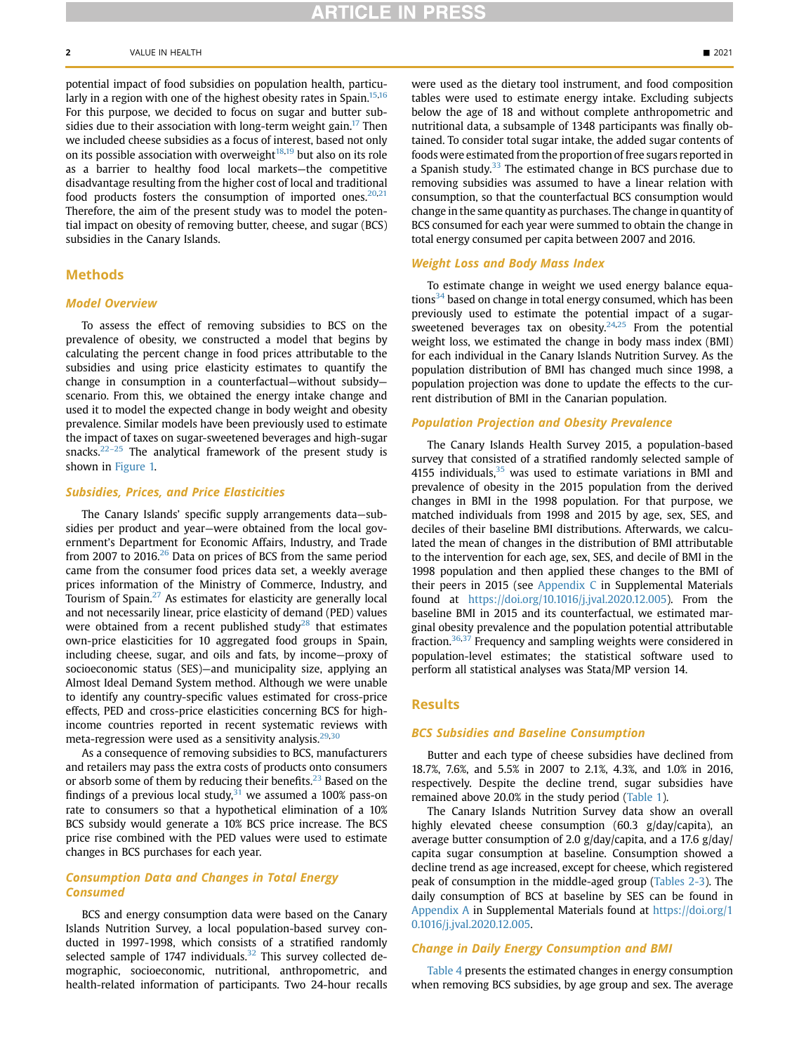potential impact of food subsidies on population health, particu-larly in a region with one of the highest obesity rates in Spain.<sup>[15,](#page-7-5)[16](#page-7-6)</sup> For this purpose, we decided to focus on sugar and butter sub-sidies due to their association with long-term weight gain.<sup>[17](#page-7-7)</sup> Then we included cheese subsidies as a focus of interest, based not only on its possible association with overweight $18,19$  $18,19$  $18,19$  but also on its role as a barrier to healthy food local markets—the competitive disadvantage resulting from the higher cost of local and traditional food products fosters the consumption of imported ones. $20,21$  $20,21$ Therefore, the aim of the present study was to model the potential impact on obesity of removing butter, cheese, and sugar (BCS) subsidies in the Canary Islands.

# Methods

#### Model Overview

To assess the effect of removing subsidies to BCS on the prevalence of obesity, we constructed a model that begins by calculating the percent change in food prices attributable to the subsidies and using price elasticity estimates to quantify the change in consumption in a counterfactual—without subsidy scenario. From this, we obtained the energy intake change and used it to model the expected change in body weight and obesity prevalence. Similar models have been previously used to estimate the impact of taxes on sugar-sweetened beverages and high-sugar snacks. $22-25$  $22-25$  The analytical framework of the present study is shown in [Figure 1.](#page-2-0)

## Subsidies, Prices, and Price Elasticities

The Canary Islands' specific supply arrangements data—subsidies per product and year—were obtained from the local government's Department for Economic Affairs, Industry, and Trade from 2007 to 2016. $26$  Data on prices of BCS from the same period came from the consumer food prices data set, a weekly average prices information of the Ministry of Commerce, Industry, and Tourism of Spain.<sup>27</sup> As estimates for elasticity are generally local and not necessarily linear, price elasticity of demand (PED) values were obtained from a recent published study<sup>[28](#page-7-15)</sup> that estimates own-price elasticities for 10 aggregated food groups in Spain, including cheese, sugar, and oils and fats, by income—proxy of socioeconomic status (SES)—and municipality size, applying an Almost Ideal Demand System method. Although we were unable to identify any country-specific values estimated for cross-price effects, PED and cross-price elasticities concerning BCS for highincome countries reported in recent systematic reviews with meta-regression were used as a sensitivity analysis.<sup>[29,](#page-7-16)[30](#page-7-17)</sup>

As a consequence of removing subsidies to BCS, manufacturers and retailers may pass the extra costs of products onto consumers or absorb some of them by reducing their benefits.<sup>[23](#page-7-18)</sup> Based on the findings of a previous local study, $31$  we assumed a 100% pass-on rate to consumers so that a hypothetical elimination of a 10% BCS subsidy would generate a 10% BCS price increase. The BCS price rise combined with the PED values were used to estimate changes in BCS purchases for each year.

### Consumption Data and Changes in Total Energy Consumed

BCS and energy consumption data were based on the Canary Islands Nutrition Survey, a local population-based survey conducted in 1997-1998, which consists of a stratified randomly selected sample of 1747 individuals. $32$  This survey collected demographic, socioeconomic, nutritional, anthropometric, and health-related information of participants. Two 24-hour recalls were used as the dietary tool instrument, and food composition tables were used to estimate energy intake. Excluding subjects below the age of 18 and without complete anthropometric and nutritional data, a subsample of 1348 participants was finally obtained. To consider total sugar intake, the added sugar contents of foods were estimated from the proportion of free sugars reported in a Spanish study. $33$  The estimated change in BCS purchase due to removing subsidies was assumed to have a linear relation with consumption, so that the counterfactual BCS consumption would change in the same quantity as purchases. The change in quantity of BCS consumed for each year were summed to obtain the change in total energy consumed per capita between 2007 and 2016.

### Weight Loss and Body Mass Index

To estimate change in weight we used energy balance equa-tions<sup>[34](#page-7-22)</sup> based on change in total energy consumed, which has been previously used to estimate the potential impact of a sugarsweetened beverages tax on obesity. $24,25$  $24,25$  From the potential weight loss, we estimated the change in body mass index (BMI) for each individual in the Canary Islands Nutrition Survey. As the population distribution of BMI has changed much since 1998, a population projection was done to update the effects to the current distribution of BMI in the Canarian population.

#### Population Projection and Obesity Prevalence

The Canary Islands Health Survey 2015, a population-based survey that consisted of a stratified randomly selected sample of 4155 individuals, $35$  was used to estimate variations in BMI and prevalence of obesity in the 2015 population from the derived changes in BMI in the 1998 population. For that purpose, we matched individuals from 1998 and 2015 by age, sex, SES, and deciles of their baseline BMI distributions. Afterwards, we calculated the mean of changes in the distribution of BMI attributable to the intervention for each age, sex, SES, and decile of BMI in the 1998 population and then applied these changes to the BMI of their peers in 2015 (see Appendix C in Supplemental Materials found at [https://doi.org/10.1016/j.jval.2020.12.005\)](https://doi.org/10.1016/j.jval.2020.12.005). From the baseline BMI in 2015 and its counterfactual, we estimated marginal obesity prevalence and the population potential attributable fraction.<sup>[36,](#page-7-26)[37](#page-7-27)</sup> Frequency and sampling weights were considered in population-level estimates; the statistical software used to perform all statistical analyses was Stata/MP version 14.

#### Results

#### BCS Subsidies and Baseline Consumption

Butter and each type of cheese subsidies have declined from 18.7%, 7.6%, and 5.5% in 2007 to 2.1%, 4.3%, and 1.0% in 2016, respectively. Despite the decline trend, sugar subsidies have remained above 20.0% in the study period [\(Table 1](#page-3-0)).

The Canary Islands Nutrition Survey data show an overall highly elevated cheese consumption (60.3 g/day/capita), an average butter consumption of 2.0 g/day/capita, and a 17.6 g/day/ capita sugar consumption at baseline. Consumption showed a decline trend as age increased, except for cheese, which registered peak of consumption in the middle-aged group [\(Tables 2-3](#page-4-0)). The daily consumption of BCS at baseline by SES can be found in Appendix A in Supplemental Materials found at [https://doi.org/1](https://doi.org/10.1016/j.jval.2020.12.005) [0.1016/j.jval.2020.12.005](https://doi.org/10.1016/j.jval.2020.12.005).

#### Change in Daily Energy Consumption and BMI

[Table 4](#page-5-0) presents the estimated changes in energy consumption when removing BCS subsidies, by age group and sex. The average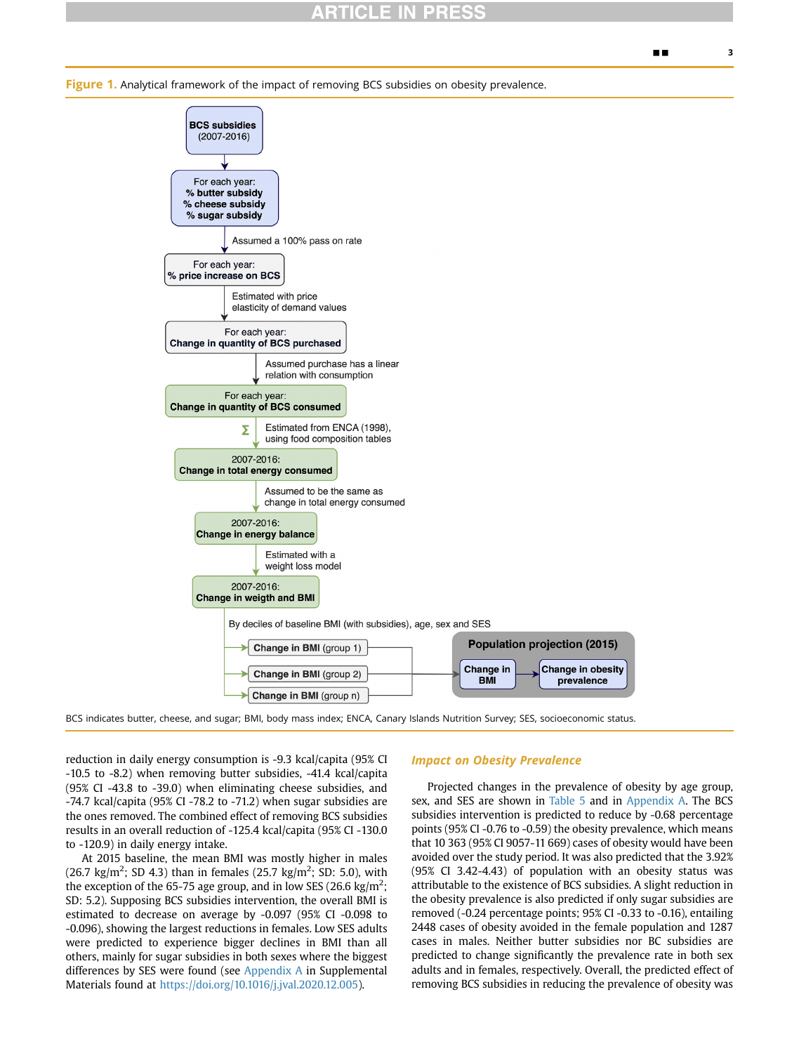<span id="page-2-0"></span>Figure 1. Analytical framework of the impact of removing BCS subsidies on obesity prevalence.



BCS indicates butter, cheese, and sugar; BMI, body mass index; ENCA, Canary Islands Nutrition Survey; SES, socioeconomic status.

reduction in daily energy consumption is -9.3 kcal/capita (95% CI -10.5 to -8.2) when removing butter subsidies, -41.4 kcal/capita (95% CI -43.8 to -39.0) when eliminating cheese subsidies, and -74.7 kcal/capita (95% CI -78.2 to -71.2) when sugar subsidies are the ones removed. The combined effect of removing BCS subsidies results in an overall reduction of -125.4 kcal/capita (95% CI -130.0 to -120.9) in daily energy intake.

At 2015 baseline, the mean BMI was mostly higher in males (26.7 kg/m<sup>2</sup>; SD 4.3) than in females (25.7 kg/m<sup>2</sup>; SD: 5.0), with the exception of the 65-75 age group, and in low SES (26.6 kg/m<sup>2</sup>; SD: 5.2). Supposing BCS subsidies intervention, the overall BMI is estimated to decrease on average by -0.097 (95% CI -0.098 to -0.096), showing the largest reductions in females. Low SES adults were predicted to experience bigger declines in BMI than all others, mainly for sugar subsidies in both sexes where the biggest differences by SES were found (see Appendix A in Supplemental Materials found at <https://doi.org/10.1016/j.jval.2020.12.005>).

#### Impact on Obesity Prevalence

Projected changes in the prevalence of obesity by age group, sex, and SES are shown in [Table 5](#page-5-1) and in Appendix A. The BCS subsidies intervention is predicted to reduce by -0.68 percentage points (95% CI -0.76 to -0.59) the obesity prevalence, which means that 10 363 (95% CI 9057-11 669) cases of obesity would have been avoided over the study period. It was also predicted that the 3.92% (95% CI 3.42-4.43) of population with an obesity status was attributable to the existence of BCS subsidies. A slight reduction in the obesity prevalence is also predicted if only sugar subsidies are removed (-0.24 percentage points; 95% CI -0.33 to -0.16), entailing 2448 cases of obesity avoided in the female population and 1287 cases in males. Neither butter subsidies nor BC subsidies are predicted to change significantly the prevalence rate in both sex adults and in females, respectively. Overall, the predicted effect of removing BCS subsidies in reducing the prevalence of obesity was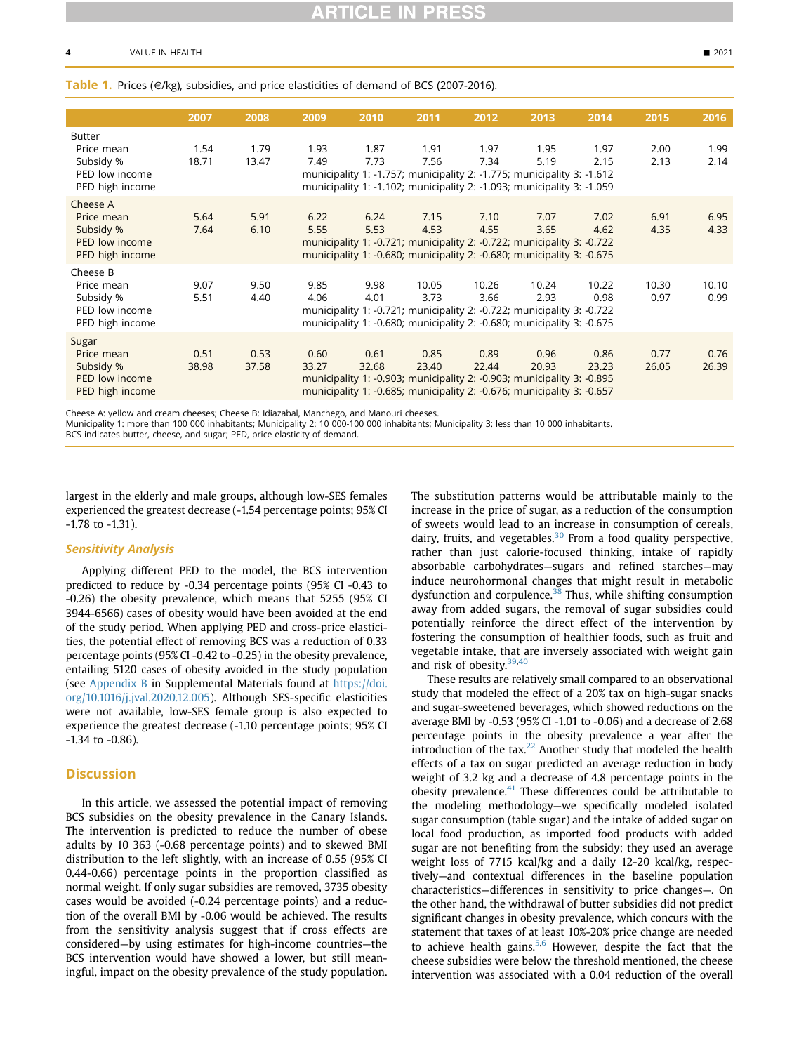#### <span id="page-3-0"></span>Table 1. Prices ( $\in$ /kg), subsidies, and price elasticities of demand of BCS (2007-2016).

| 2007<br>2008<br>2011<br>2015<br>2009<br>2010<br>2012<br>2013<br>2014<br><b>Butter</b><br>1.54<br>1.79<br>1.93<br>1.87<br>1.91<br>1.97<br>1.95<br>1.97<br>2.00<br>Price mean<br>Subsidy %<br>18.71<br>13.47<br>7.49<br>7.73<br>7.34<br>5.19<br>2.15<br>2.13<br>7.56<br>PED low income<br>municipality 1: -1.757; municipality 2: -1.775; municipality 3: -1.612<br>municipality 1: -1.102; municipality 2: -1.093; municipality 3: -1.059<br>PED high income<br>Cheese A<br>5.91<br>6.22<br>6.24<br>7.02<br>5.64<br>7.15<br>7.10<br>7.07<br>6.91<br>Price mean<br>6.10<br>5.55<br>4.55<br>4.62<br>Subsidy %<br>7.64<br>5.53<br>4.53<br>3.65<br>4.35<br>PED low income<br>municipality 1: -0.721; municipality 2: -0.722; municipality 3: -0.722<br>PED high income<br>municipality 1: -0.680; municipality 2: -0.680; municipality 3: -0.675<br>Cheese B<br>9.50<br>9.85<br>9.98<br>10.05<br>10.22<br>10.30<br>Price mean<br>9.07<br>10.26<br>10.24<br>0.98<br>Subsidy %<br>5.51<br>4.40<br>4.06<br>3.73<br>3.66<br>2.93<br>0.97<br>4.01<br>PED low income<br>municipality 1: -0.721; municipality 2: -0.722; municipality 3: -0.722<br>PED high income<br>municipality 1: -0.680; municipality 2: -0.680; municipality 3: -0.675<br>Sugar<br>0.53<br>0.61<br>0.85<br>0.96<br>0.86<br>0.77<br>0.51<br>0.60<br>0.89<br>Price mean<br>Subsidy %<br>37.58<br>38.98<br>33.27<br>32.68<br>23.40<br>22.44<br>20.93<br>23.23<br>26.05<br>PED low income<br>municipality 1: -0.903; municipality 2: -0.903; municipality 3: -0.895<br>PED high income<br>municipality 1: -0.685; municipality 2: -0.676; municipality 3: -0.657 |  |  |  |  |  |               |
|------------------------------------------------------------------------------------------------------------------------------------------------------------------------------------------------------------------------------------------------------------------------------------------------------------------------------------------------------------------------------------------------------------------------------------------------------------------------------------------------------------------------------------------------------------------------------------------------------------------------------------------------------------------------------------------------------------------------------------------------------------------------------------------------------------------------------------------------------------------------------------------------------------------------------------------------------------------------------------------------------------------------------------------------------------------------------------------------------------------------------------------------------------------------------------------------------------------------------------------------------------------------------------------------------------------------------------------------------------------------------------------------------------------------------------------------------------------------------------------------------------------------------------------------------------------------------------------------------------------------|--|--|--|--|--|---------------|
|                                                                                                                                                                                                                                                                                                                                                                                                                                                                                                                                                                                                                                                                                                                                                                                                                                                                                                                                                                                                                                                                                                                                                                                                                                                                                                                                                                                                                                                                                                                                                                                                                        |  |  |  |  |  | 2016          |
|                                                                                                                                                                                                                                                                                                                                                                                                                                                                                                                                                                                                                                                                                                                                                                                                                                                                                                                                                                                                                                                                                                                                                                                                                                                                                                                                                                                                                                                                                                                                                                                                                        |  |  |  |  |  | 1.99<br>2.14  |
|                                                                                                                                                                                                                                                                                                                                                                                                                                                                                                                                                                                                                                                                                                                                                                                                                                                                                                                                                                                                                                                                                                                                                                                                                                                                                                                                                                                                                                                                                                                                                                                                                        |  |  |  |  |  | 6.95<br>4.33  |
|                                                                                                                                                                                                                                                                                                                                                                                                                                                                                                                                                                                                                                                                                                                                                                                                                                                                                                                                                                                                                                                                                                                                                                                                                                                                                                                                                                                                                                                                                                                                                                                                                        |  |  |  |  |  | 10.10<br>0.99 |
|                                                                                                                                                                                                                                                                                                                                                                                                                                                                                                                                                                                                                                                                                                                                                                                                                                                                                                                                                                                                                                                                                                                                                                                                                                                                                                                                                                                                                                                                                                                                                                                                                        |  |  |  |  |  | 0.76<br>26.39 |

Cheese A: yellow and cream cheeses; Cheese B: Idiazabal, Manchego, and Manouri cheeses.

Municipality 1: more than 100 000 inhabitants; Municipality 2: 10 000-100 000 inhabitants; Municipality 3: less than 10 000 inhabitants. BCS indicates butter, cheese, and sugar; PED, price elasticity of demand.

largest in the elderly and male groups, although low-SES females experienced the greatest decrease (-1.54 percentage points; 95% CI -1.78 to -1.31).

#### Sensitivity Analysis

Applying different PED to the model, the BCS intervention predicted to reduce by -0.34 percentage points (95% CI -0.43 to -0.26) the obesity prevalence, which means that 5255 (95% CI 3944-6566) cases of obesity would have been avoided at the end of the study period. When applying PED and cross-price elasticities, the potential effect of removing BCS was a reduction of 0.33 percentage points (95% CI -0.42 to -0.25) in the obesity prevalence, entailing 5120 cases of obesity avoided in the study population (see Appendix B in Supplemental Materials found at [https://doi.](https://doi.org/10.1016/j.jval.2020.12.005) [org/10.1016/j.jval.2020.12.005](https://doi.org/10.1016/j.jval.2020.12.005)). Although SES-specific elasticities were not available, low-SES female group is also expected to experience the greatest decrease (-1.10 percentage points; 95% CI -1.34 to -0.86).

### **Discussion**

In this article, we assessed the potential impact of removing BCS subsidies on the obesity prevalence in the Canary Islands. The intervention is predicted to reduce the number of obese adults by 10 363 (-0.68 percentage points) and to skewed BMI distribution to the left slightly, with an increase of 0.55 (95% CI 0.44-0.66) percentage points in the proportion classified as normal weight. If only sugar subsidies are removed, 3735 obesity cases would be avoided (-0.24 percentage points) and a reduction of the overall BMI by -0.06 would be achieved. The results from the sensitivity analysis suggest that if cross effects are considered—by using estimates for high-income countries—the BCS intervention would have showed a lower, but still meaningful, impact on the obesity prevalence of the study population. The substitution patterns would be attributable mainly to the increase in the price of sugar, as a reduction of the consumption of sweets would lead to an increase in consumption of cereals, dairy, fruits, and vegetables. $30$  From a food quality perspective, rather than just calorie-focused thinking, intake of rapidly absorbable carbohydrates—sugars and refined starches—may induce neurohormonal changes that might result in metabolic dysfunction and corpulence. $38$  Thus, while shifting consumption away from added sugars, the removal of sugar subsidies could potentially reinforce the direct effect of the intervention by fostering the consumption of healthier foods, such as fruit and vegetable intake, that are inversely associated with weight gain and risk of obesity.<sup>[39](#page-7-29),[40](#page-7-30)</sup>

These results are relatively small compared to an observational study that modeled the effect of a 20% tax on high-sugar snacks and sugar-sweetened beverages, which showed reductions on the average BMI by -0.53 (95% CI -1.01 to -0.06) and a decrease of 2.68 percentage points in the obesity prevalence a year after the introduction of the tax.<sup>22</sup> Another study that modeled the health effects of a tax on sugar predicted an average reduction in body weight of 3.2 kg and a decrease of 4.8 percentage points in the obesity prevalence. $41$  These differences could be attributable to the modeling methodology—we specifically modeled isolated sugar consumption (table sugar) and the intake of added sugar on local food production, as imported food products with added sugar are not benefiting from the subsidy; they used an average weight loss of 7715 kcal/kg and a daily 12-20 kcal/kg, respectively—and contextual differences in the baseline population characteristics—differences in sensitivity to price changes—. On the other hand, the withdrawal of butter subsidies did not predict significant changes in obesity prevalence, which concurs with the statement that taxes of at least 10%-20% price change are needed to achieve health gains.<sup>[5](#page-6-4),[6](#page-6-5)</sup> However, despite the fact that the cheese subsidies were below the threshold mentioned, the cheese intervention was associated with a 0.04 reduction of the overall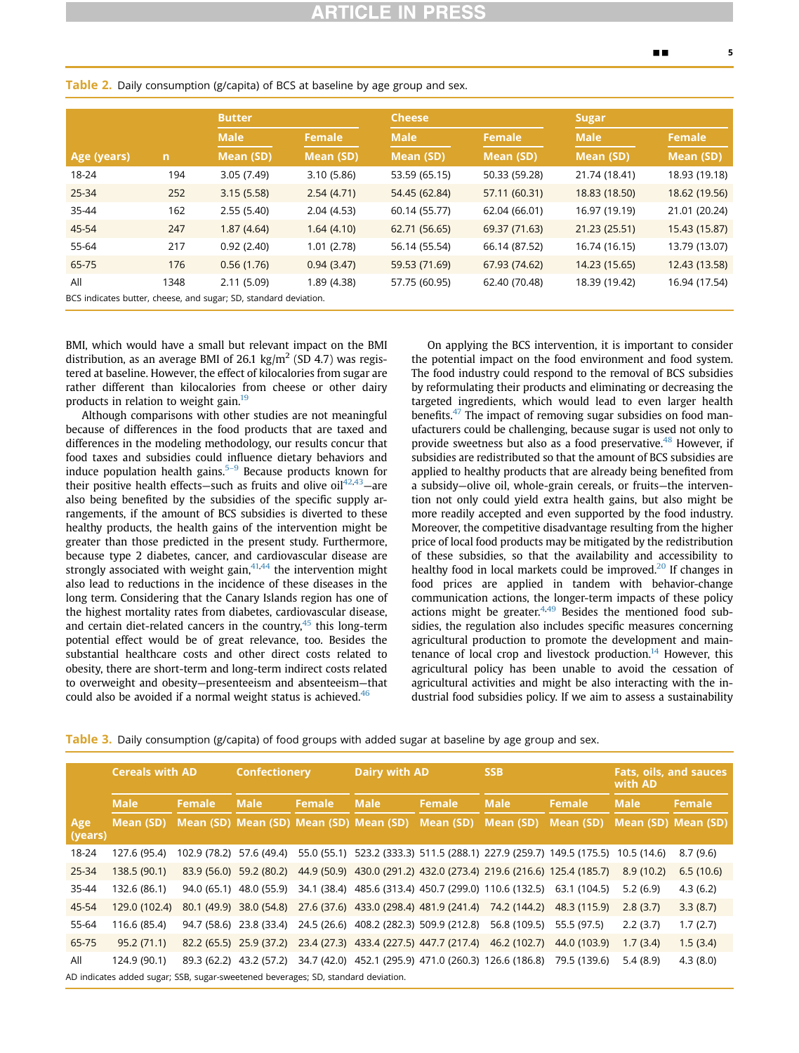|             |              | <b>Butter</b>                                                    |               | <b>Cheese</b> |               | <b>Sugar</b>  |               |  |
|-------------|--------------|------------------------------------------------------------------|---------------|---------------|---------------|---------------|---------------|--|
|             |              | <b>Male</b>                                                      | <b>Female</b> | <b>Male</b>   | <b>Female</b> | <b>Male</b>   | Female        |  |
| Age (years) | $\mathsf{n}$ | Mean (SD)                                                        | Mean (SD)     | Mean (SD)     | Mean (SD)     | Mean (SD)     | Mean (SD)     |  |
| 18-24       | 194          | 3.05(7.49)                                                       | 3.10(5.86)    | 53.59 (65.15) | 50.33 (59.28) | 21.74 (18.41) | 18.93 (19.18) |  |
| 25-34       | 252          | 3.15(5.58)                                                       | 2.54(4.71)    | 54.45 (62.84) | 57.11 (60.31) | 18.83 (18.50) | 18.62 (19.56) |  |
| 35-44       | 162          | 2.55(5.40)                                                       | 2.04(4.53)    | 60.14 (55.77) | 62.04 (66.01) | 16.97 (19.19) | 21.01 (20.24) |  |
| 45-54       | 247          | 1.87(4.64)                                                       | 1.64(4.10)    | 62.71 (56.65) | 69.37 (71.63) | 21.23 (25.51) | 15.43 (15.87) |  |
| 55-64       | 217          | 0.92(2.40)                                                       | 1.01(2.78)    | 56.14 (55.54) | 66.14 (87.52) | 16.74 (16.15) | 13.79 (13.07) |  |
| 65-75       | 176          | 0.56(1.76)                                                       | 0.94(3.47)    | 59.53 (71.69) | 67.93 (74.62) | 14.23 (15.65) | 12.43 (13.58) |  |
| All         | 1348         | 2.11(5.09)                                                       | 1.89 (4.38)   | 57.75 (60.95) | 62.40 (70.48) | 18.39 (19.42) | 16.94 (17.54) |  |
|             |              | BCS indicates butter, cheese, and sugar; SD, standard deviation. |               |               |               |               |               |  |

<span id="page-4-0"></span>Table 2. Daily consumption (g/capita) of BCS at baseline by age group and sex.

BMI, which would have a small but relevant impact on the BMI distribution, as an average BMI of 26.1 kg/m<sup>2</sup> (SD 4.7) was registered at baseline. However, the effect of kilocalories from sugar are rather different than kilocalories from cheese or other dairy products in relation to weight gain.<sup>[19](#page-7-9)</sup>

Although comparisons with other studies are not meaningful because of differences in the food products that are taxed and differences in the modeling methodology, our results concur that food taxes and subsidies could influence dietary behaviors and induce population health gains. $5-9$  Because products known for their positive health effects-such as fruits and olive  $oil<sup>42,43</sup>$  $oil<sup>42,43</sup>$  $oil<sup>42,43</sup>$  $oil<sup>42,43</sup>$ -are also being benefited by the subsidies of the specific supply arrangements, if the amount of BCS subsidies is diverted to these healthy products, the health gains of the intervention might be greater than those predicted in the present study. Furthermore, because type 2 diabetes, cancer, and cardiovascular disease are strongly associated with weight gain, $41,44$  $41,44$  the intervention might also lead to reductions in the incidence of these diseases in the long term. Considering that the Canary Islands region has one of the highest mortality rates from diabetes, cardiovascular disease, and certain diet-related cancers in the country, $45$  this long-term potential effect would be of great relevance, too. Besides the substantial healthcare costs and other direct costs related to obesity, there are short-term and long-term indirect costs related to overweight and obesity—presenteeism and absenteeism—that could also be avoided if a normal weight status is achieved.<sup>46</sup>

On applying the BCS intervention, it is important to consider the potential impact on the food environment and food system. The food industry could respond to the removal of BCS subsidies by reformulating their products and eliminating or decreasing the targeted ingredients, which would lead to even larger health benefits. $47$  The impact of removing sugar subsidies on food manufacturers could be challenging, because sugar is used not only to provide sweetness but also as a food preservative.<sup>[48](#page-7-38)</sup> However, if subsidies are redistributed so that the amount of BCS subsidies are applied to healthy products that are already being benefited from a subsidy—olive oil, whole-grain cereals, or fruits—the intervention not only could yield extra health gains, but also might be more readily accepted and even supported by the food industry. Moreover, the competitive disadvantage resulting from the higher price of local food products may be mitigated by the redistribution of these subsidies, so that the availability and accessibility to healthy food in local markets could be improved.<sup>20</sup> If changes in food prices are applied in tandem with behavior-change communication actions, the longer-term impacts of these policy actions might be greater. $4,49$  $4,49$  $4,49$  Besides the mentioned food subsidies, the regulation also includes specific measures concerning agricultural production to promote the development and main-tenance of local crop and livestock production.<sup>[14](#page-7-4)</sup> However, this agricultural policy has been unable to avoid the cessation of agricultural activities and might be also interacting with the industrial food subsidies policy. If we aim to assess a sustainability

Table 3. Daily consumption (g/capita) of food groups with added sugar at baseline by age group and sex.

|                | <b>Cereals with AD</b><br><b>Male</b><br>Female                                                   |                          | <b>Confectionery</b>    |  | <b>Dairy with AD</b>                                                                       |        | <b>SSB</b>   |               | <b>Fats, oils, and sauces</b><br>with AD |           |
|----------------|---------------------------------------------------------------------------------------------------|--------------------------|-------------------------|--|--------------------------------------------------------------------------------------------|--------|--------------|---------------|------------------------------------------|-----------|
|                |                                                                                                   |                          | <b>Male</b><br>Female   |  | <b>Male</b>                                                                                | Female | <b>Male</b>  | <b>Female</b> | <b>Male</b>                              | Female    |
| Age<br>(years) |                                                                                                   |                          |                         |  | Mean (SD) Mean (SD) Mean (SD) Mean (SD) Mean (SD) Mean (SD) Mean (SD)                      |        |              | Mean (SD)     | Mean (SD) Mean (SD)                      |           |
| 18-24          | 127.6 (95.4)                                                                                      | 102.9 (78.2) 57.6 (49.4) |                         |  | 55.0 (55.1) 523.2 (333.3) 511.5 (288.1) 227.9 (259.7) 149.5 (175.5) 10.5 (14.6)            |        |              |               |                                          | 8.7(9.6)  |
| 25-34          | 138.5 (90.1)                                                                                      |                          | 83.9 (56.0) 59.2 (80.2) |  | 44.9 (50.9) 430.0 (291.2) 432.0 (273.4) 219.6 (216.6) 125.4 (185.7)                        |        |              |               | 8.9(10.2)                                | 6.5(10.6) |
| 35-44          | 132.6 (86.1)                                                                                      |                          |                         |  | 94.0 (65.1) 48.0 (55.9) 34.1 (38.4) 485.6 (313.4) 450.7 (299.0) 110.6 (132.5) 63.1 (104.5) |        |              |               | 5.2(6.9)                                 | 4.3(6.2)  |
| 45-54          | 129.0 (102.4)                                                                                     |                          | 80.1 (49.9) 38.0 (54.8) |  | 27.6 (37.6) 433.0 (298.4) 481.9 (241.4) 74.2 (144.2)                                       |        |              | 48.3 (115.9)  | 2.8(3.7)                                 | 3.3(8.7)  |
| 55-64          | 116.6 (85.4)                                                                                      |                          | 94.7 (58.6) 23.8 (33.4) |  | 24.5 (26.6) 408.2 (282.3) 509.9 (212.8)                                                    |        | 56.8 (109.5) | 55.5 (97.5)   | 2.2(3.7)                                 | 1.7(2.7)  |
| 65-75          | 95.2(71.1)                                                                                        |                          | 82.2 (65.5) 25.9 (37.2) |  | 23.4 (27.3) 433.4 (227.5) 447.7 (217.4) 46.2 (102.7)                                       |        |              | 44.0 (103.9)  | 1.7(3.4)                                 | 1.5(3.4)  |
| All            | 124.9 (90.1)<br>AD indicates added sugar; SSB, sugar-sweetened beverages; SD, standard deviation. |                          | 89.3 (62.2) 43.2 (57.2) |  | 34.7 (42.0) 452.1 (295.9) 471.0 (260.3) 126.6 (186.8)                                      |        |              | 79.5 (139.6)  | 5.4(8.9)                                 | 4.3(8.0)  |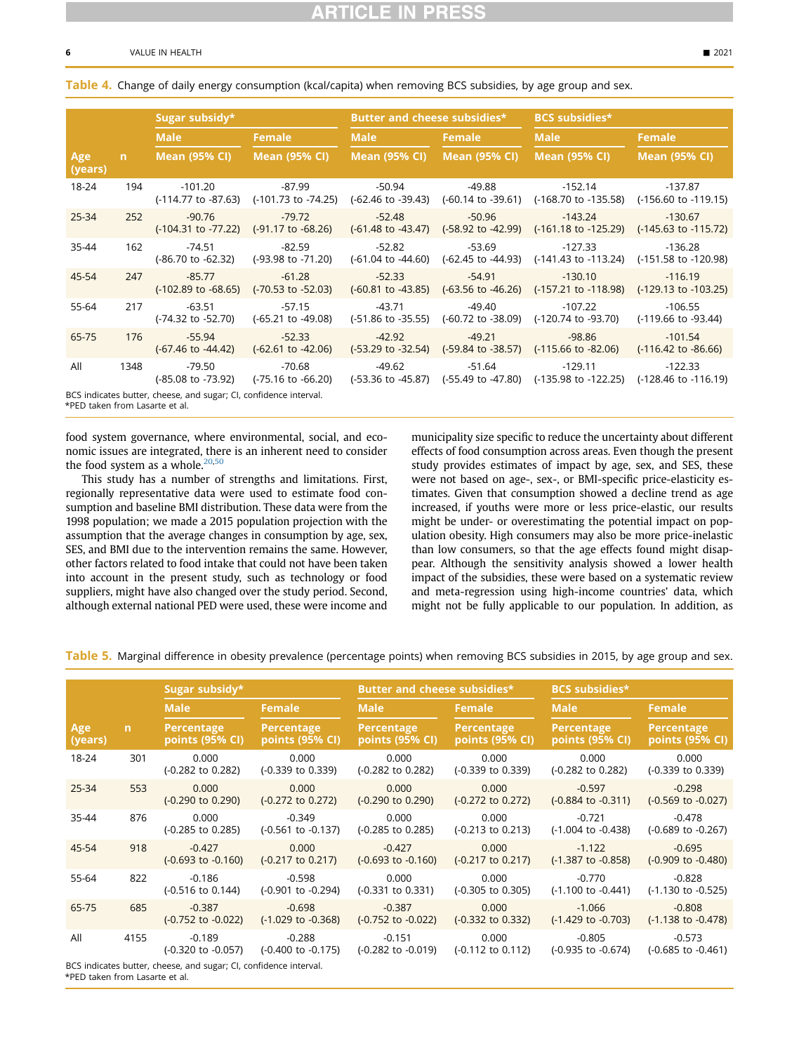#### 6 VALUE IN HEALTH - 2021

#### <span id="page-5-0"></span>Table 4. Change of daily energy consumption (kcal/capita) when removing BCS subsidies, by age group and sex.

|                |      | Sugar subsidy*                             |                                                                           | Butter and cheese subsidies*              |                                | <b>BCS</b> subsidies*                                                                                  |                                              |  |
|----------------|------|--------------------------------------------|---------------------------------------------------------------------------|-------------------------------------------|--------------------------------|--------------------------------------------------------------------------------------------------------|----------------------------------------------|--|
|                |      | <b>Male</b>                                | Female                                                                    | <b>Male</b>                               | Female                         | Male                                                                                                   | Female                                       |  |
| Age<br>(years) | n    | <b>Mean (95% CI)</b>                       | Mean (95% Cl)                                                             | <b>Mean (95% CI)</b>                      | <b>Mean (95% CI)</b>           | <b>Mean (95% CI)</b>                                                                                   | <b>Mean (95% CI)</b>                         |  |
| 18-24          | 194  | $-101.20$                                  | $-87.99$<br>$(-114.77 \text{ to } -87.63)$ $(-101.73 \text{ to } -74.25)$ | -50.94<br>$(-62.46 \text{ to } -39.43)$   | -49.88                         | $-152.14$<br>$(-60.14 \text{ to } -39.61)$ $(-168.70 \text{ to } -135.58)$                             | -137.87<br>(-156.60 to -119.15)              |  |
| 25-34          | 252  | $-90.76$<br>$(-104.31$ to $-77.22)$        | $-79.72$<br>(-91.17 to -68.26)                                            | -52.48<br>$(-61.48 \text{ to } -43.47)$   | -50.96                         | $-143.24$<br>$(-58.92 \text{ to } -42.99)$ $(-161.18 \text{ to } -125.29)$                             | $-130.67$<br>$(-145.63 \text{ to } -115.72)$ |  |
| 35-44          | 162  | $-74.51$<br>(-86.70 to -62.32)             | $-82.59$<br>(-93.98 to -71.20)                                            | -52.82<br>$(-61.04 \text{ to } -44.60)$   | $-53.69$<br>(-62.45 to -44.93) | $-127.33$<br>(-141.43 to -113.24)                                                                      | $-136.28$<br>(-151.58 to -120.98)            |  |
| 45-54          | 247  | $-85.77$<br>$(-102.89 \text{ to } -68.65)$ | $-61.28$<br>(-70.53 to -52.03)                                            | $-52.33$<br>$(-60.81 \text{ to } -43.85)$ | $-54.91$                       | $-130.10$<br>$(-63.56 \text{ to } -46.26)$ $(-157.21 \text{ to } -118.98)$                             | $-116.19$<br>(-129.13 to -103.25)            |  |
| 55-64          | 217  | $-63.51$<br>(-74.32 to -52.70)             | $-57.15$<br>$(-65.21 \text{ to } -49.08)$                                 | $-43.71$<br>$(-51.86 \text{ to } -35.55)$ | $-49.40$<br>(-60.72 to -38.09) | $-107.22$<br>(-120.74 to -93.70)                                                                       | $-106.55$<br>(-119.66 to -93.44)             |  |
| 65-75          | 176  | $-55.94$<br>$(-67.46 \text{ to } -44.42)$  | $-52.33$<br>$(-62.61 \text{ to } -42.06)$                                 | $-42.92$                                  | $-49.21$                       | $-98.86$<br>$(-53.29 \text{ to } -32.54)$ $(-59.84 \text{ to } -38.57)$ $(-115.66 \text{ to } -82.06)$ | $-101.54$<br>$(-116.42 \text{ to } -86.66)$  |  |
| All            | 1348 | -79.50                                     | $-70.68$<br>$(-85.08 \text{ to } -73.92)$ $(-75.16 \text{ to } -66.20)$   | -49.62                                    | -51.64                         | -129.11<br>(-53.36 to -45.87) (-55.49 to -47.80) (-135.98 to -122.25) (-128.46 to -116.19)             | $-122.33$                                    |  |

sugar; CI, confidence interval.

<span id="page-5-3"></span>\*PED taken from Lasarte et al.

food system governance, where environmental, social, and economic issues are integrated, there is an inherent need to consider the food system as a whole. $20,50$  $20,50$ 

This study has a number of strengths and limitations. First, regionally representative data were used to estimate food consumption and baseline BMI distribution. These data were from the 1998 population; we made a 2015 population projection with the assumption that the average changes in consumption by age, sex, SES, and BMI due to the intervention remains the same. However, other factors related to food intake that could not have been taken into account in the present study, such as technology or food suppliers, might have also changed over the study period. Second, although external national PED were used, these were income and municipality size specific to reduce the uncertainty about different effects of food consumption across areas. Even though the present study provides estimates of impact by age, sex, and SES, these were not based on age-, sex-, or BMI-specific price-elasticity estimates. Given that consumption showed a decline trend as age increased, if youths were more or less price-elastic, our results might be under- or overestimating the potential impact on population obesity. High consumers may also be more price-inelastic than low consumers, so that the age effects found might disappear. Although the sensitivity analysis showed a lower health impact of the subsidies, these were based on a systematic review and meta-regression using high-income countries' data, which might not be fully applicable to our population. In addition, as

<span id="page-5-1"></span>

|  |  | <mark>Table 5.</mark> Marginal difference in obesity prevalence (percentage points) when removing BCS subsidies in 2015, by age group and sex. |  |  |  |  |
|--|--|------------------------------------------------------------------------------------------------------------------------------------------------|--|--|--|--|
|--|--|------------------------------------------------------------------------------------------------------------------------------------------------|--|--|--|--|

|                |              | Sugar subsidy*                            |                                           | Butter and cheese subsidies*              |                                       | <b>BCS</b> subsidies*                     |                                           |  |
|----------------|--------------|-------------------------------------------|-------------------------------------------|-------------------------------------------|---------------------------------------|-------------------------------------------|-------------------------------------------|--|
|                |              | <b>Male</b>                               | <b>Female</b>                             | <b>Male</b>                               | Female                                | <b>Male</b>                               | <b>Female</b>                             |  |
| Age<br>(years) | $\mathsf{n}$ | Percentage<br>points (95% CI)             | Percentage<br>points (95% CI)             | Percentage<br>points (95% CI)             | Percentage<br>points (95% CI)         | <b>Percentage</b><br>points (95% CI)      | Percentage<br>points (95% CI)             |  |
| 18-24          | 301          | 0.000<br>(-0.282 to 0.282)                | 0.000<br>$(-0.339$ to $0.339)$            | 0.000<br>(-0.282 to 0.282)                | 0.000<br>(-0.339 to 0.339)            | 0.000<br>(-0.282 to 0.282)                | 0.000<br>(-0.339 to 0.339)                |  |
| 25-34          | 553          | 0.000<br>$(-0.290 \text{ to } 0.290)$     | 0.000<br>$(-0.272$ to $0.272)$            | 0.000<br>$(-0.290 \text{ to } 0.290)$     | 0.000<br>$(-0.272 \text{ to } 0.272)$ | $-0.597$<br>$(-0.884 \text{ to } -0.311)$ | $-0.298$<br>$(-0.569 \text{ to } -0.027)$ |  |
| 35-44          | 876          | 0.000<br>(-0.285 to 0.285)                | $-0.349$<br>$(-0.561$ to $-0.137)$        | 0.000<br>$(-0.285 \text{ to } 0.285)$     | 0.000<br>$(-0.213 \text{ to } 0.213)$ | $-0.721$<br>$(-1.004$ to $-0.438)$        | $-0.478$<br>(-0.689 to -0.267)            |  |
| 45-54          | 918          | $-0.427$<br>$(-0.693$ to $-0.160)$        | 0.000<br>$(-0.217 \text{ to } 0.217)$     | $-0.427$<br>$(-0.693$ to $-0.160)$        | 0.000<br>$(-0.217 \text{ to } 0.217)$ | $-1.122$<br>$(-1.387$ to $-0.858)$        | $-0.695$<br>(-0.909 to -0.480)            |  |
| 55-64          | 822          | $-0.186$<br>$(-0.516 \text{ to } 0.144)$  | $-0.598$<br>(-0.901 to -0.294)            | 0.000<br>$(-0.331$ to $0.331)$            | 0.000<br>$(-0.305 \text{ to } 0.305)$ | $-0.770$<br>$(-1.100 \text{ to } -0.441)$ | $-0.828$<br>(-1.130 to -0.525)            |  |
| 65-75          | 685          | $-0.387$<br>$(-0.752 \text{ to } -0.022)$ | $-0.698$<br>$(-1.029 \text{ to } -0.368)$ | $-0.387$<br>$(-0.752 \text{ to } -0.022)$ | 0.000<br>(-0.332 to 0.332)            | $-1.066$<br>$(-1.429 \text{ to } -0.703)$ | $-0.808$<br>$(-1.138$ to $-0.478)$        |  |
| All            | 4155         | $-0.189$<br>(-0.320 to -0.057)            | $-0.288$<br>$(-0.400 \text{ to } -0.175)$ | $-0.151$<br>$(-0.282 \text{ to } -0.019)$ | 0.000<br>$(-0.112 \text{ to } 0.112)$ | $-0.805$<br>(-0.935 to -0.674)            | $-0.573$<br>$(-0.685 \text{ to } -0.461)$ |  |

<span id="page-5-2"></span>BCS indicates butter, cheese, and sugar; CI, confidence interval. \*PED taken from Lasarte et al.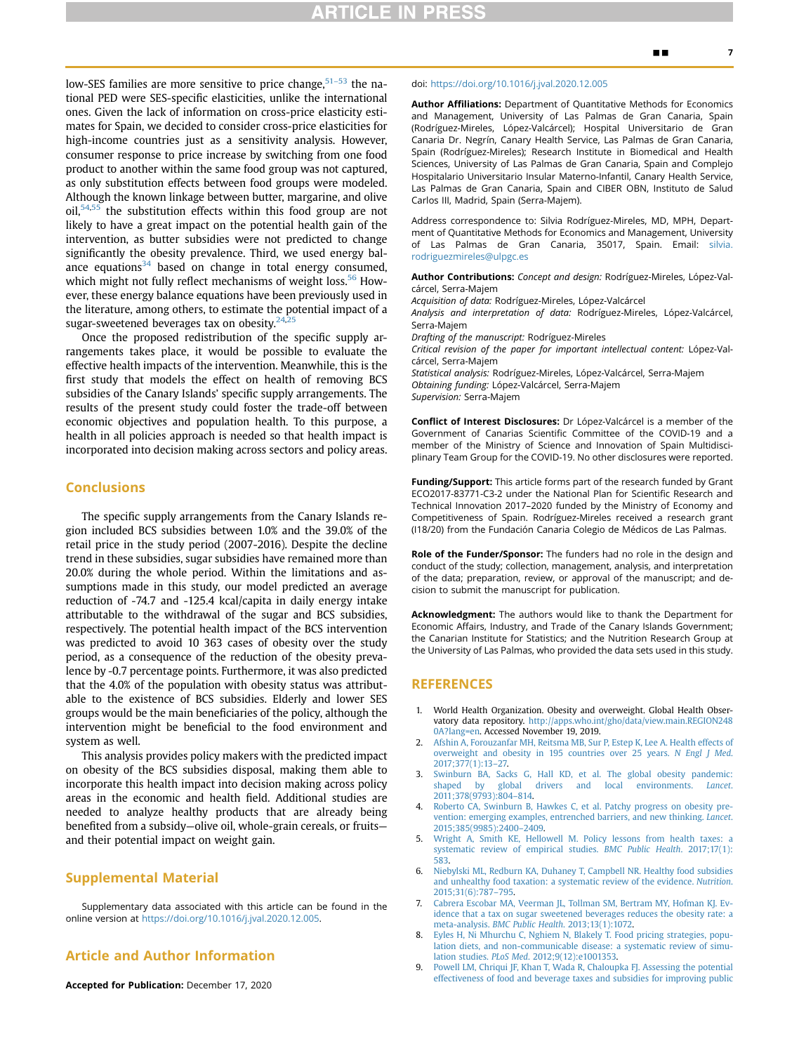# **TICLE IN P**

low-SES families are more sensitive to price change,<sup>[51](#page-7-41)-53</sup> the national PED were SES-specific elasticities, unlike the international ones. Given the lack of information on cross-price elasticity estimates for Spain, we decided to consider cross-price elasticities for high-income countries just as a sensitivity analysis. However, consumer response to price increase by switching from one food product to another within the same food group was not captured, as only substitution effects between food groups were modeled. Although the known linkage between butter, margarine, and olive oil,<sup>[54,](#page-7-42)[55](#page-7-43)</sup> the substitution effects within this food group are not likely to have a great impact on the potential health gain of the intervention, as butter subsidies were not predicted to change significantly the obesity prevalence. Third, we used energy balance equations $34$  based on change in total energy consumed, which might not fully reflect mechanisms of weight loss.<sup>[56](#page-7-44)</sup> However, these energy balance equations have been previously used in the literature, among others, to estimate the potential impact of a sugar-sweetened beverages tax on obesity. $24$ 

Once the proposed redistribution of the specific supply arrangements takes place, it would be possible to evaluate the effective health impacts of the intervention. Meanwhile, this is the first study that models the effect on health of removing BCS subsidies of the Canary Islands' specific supply arrangements. The results of the present study could foster the trade-off between economic objectives and population health. To this purpose, a health in all policies approach is needed so that health impact is incorporated into decision making across sectors and policy areas.

## Conclusions

The specific supply arrangements from the Canary Islands region included BCS subsidies between 1.0% and the 39.0% of the retail price in the study period (2007-2016). Despite the decline trend in these subsidies, sugar subsidies have remained more than 20.0% during the whole period. Within the limitations and assumptions made in this study, our model predicted an average reduction of -74.7 and -125.4 kcal/capita in daily energy intake attributable to the withdrawal of the sugar and BCS subsidies, respectively. The potential health impact of the BCS intervention was predicted to avoid 10 363 cases of obesity over the study period, as a consequence of the reduction of the obesity prevalence by -0.7 percentage points. Furthermore, it was also predicted that the 4.0% of the population with obesity status was attributable to the existence of BCS subsidies. Elderly and lower SES groups would be the main beneficiaries of the policy, although the intervention might be beneficial to the food environment and system as well.

This analysis provides policy makers with the predicted impact on obesity of the BCS subsidies disposal, making them able to incorporate this health impact into decision making across policy areas in the economic and health field. Additional studies are needed to analyze healthy products that are already being benefited from a subsidy—olive oil, whole-grain cereals, or fruits and their potential impact on weight gain.

# Supplemental Material

Supplementary data associated with this article can be found in the online version at <https://doi.org/10.1016/j.jval.2020.12.005>.

# Article and Author Information

Accepted for Publication: December 17, 2020

#### doi: [https://doi.org/10.1016/j.jval.2020.12.005](http://doi.org/https://doi.org/10.1016/j.jval.2020.12.005)

Author Affiliations: Department of Quantitative Methods for Economics and Management, University of Las Palmas de Gran Canaria, Spain (Rodríguez-Mireles, López-Valcárcel); Hospital Universitario de Gran Canaria Dr. Negrín, Canary Health Service, Las Palmas de Gran Canaria, Spain (Rodríguez-Mireles); Research Institute in Biomedical and Health Sciences, University of Las Palmas de Gran Canaria, Spain and Complejo Hospitalario Universitario Insular Materno-Infantil, Canary Health Service, Las Palmas de Gran Canaria, Spain and CIBER OBN, Instituto de Salud Carlos III, Madrid, Spain (Serra-Majem).

Address correspondence to: Silvia Rodríguez-Mireles, MD, MPH, Department of Quantitative Methods for Economics and Management, University of Las Palmas de Gran Canaria, 35017, Spain. Email: [silvia.](mailto:silvia.rodriguezmireles@ulpgc.es) [rodriguezmireles@ulpgc.es](mailto:silvia.rodriguezmireles@ulpgc.es)

Author Contributions: Concept and design: Rodríguez-Mireles, López-Valcárcel, Serra-Majem

Acquisition of data: Rodríguez-Mireles, López-Valcárcel

Analysis and interpretation of data: Rodríguez-Mireles, López-Valcárcel, Serra-Majem

Drafting of the manuscript: Rodríguez-Mireles

Critical revision of the paper for important intellectual content: López-Valcárcel, Serra-Majem

Statistical analysis: Rodríguez-Mireles, López-Valcárcel, Serra-Majem Obtaining funding: López-Valcárcel, Serra-Majem Supervision: Serra-Majem

Conflict of Interest Disclosures: Dr López-Valcárcel is a member of the Government of Canarias Scientific Committee of the COVID-19 and a member of the Ministry of Science and Innovation of Spain Multidisciplinary Team Group for the COVID-19. No other disclosures were reported.

Funding/Support: This article forms part of the research funded by Grant ECO2017-83771-C3-2 under the National Plan for Scientific Research and Technical Innovation 2017–2020 funded by the Ministry of Economy and Competitiveness of Spain. Rodríguez-Mireles received a research grant (I18/20) from the Fundación Canaria Colegio de Médicos de Las Palmas.

Role of the Funder/Sponsor: The funders had no role in the design and conduct of the study; collection, management, analysis, and interpretation of the data; preparation, review, or approval of the manuscript; and decision to submit the manuscript for publication.

Acknowledgment: The authors would like to thank the Department for Economic Affairs, Industry, and Trade of the Canary Islands Government; the Canarian Institute for Statistics; and the Nutrition Research Group at the University of Las Palmas, who provided the data sets used in this study.

# REFERENCES

- <span id="page-6-0"></span>1. World Health Organization. Obesity and overweight. Global Health Observatory data repository. [http://apps.who.int/gho/data/view.main.REGION248](http://apps.who.int/gho/data/view.main.REGION2480A?lang=en) [0A?lang=en.](http://apps.who.int/gho/data/view.main.REGION2480A?lang=en) Accessed November 19, 2019.
- <span id="page-6-1"></span>2. [Afshin A, Forouzanfar MH, Reitsma MB, Sur P, Estep K, Lee A. Health effects of](http://refhub.elsevier.com/S1098-3015(21)00004-8/sref2) [overweight and obesity in 195 countries over 25 years.](http://refhub.elsevier.com/S1098-3015(21)00004-8/sref2) N Engl J Med. [2017;377\(1\):13](http://refhub.elsevier.com/S1098-3015(21)00004-8/sref2)–27.
- <span id="page-6-2"></span>3. [Swinburn BA, Sacks G, Hall KD, et al. The global obesity pandemic:](http://refhub.elsevier.com/S1098-3015(21)00004-8/sref3) [shaped by global drivers and local environments.](http://refhub.elsevier.com/S1098-3015(21)00004-8/sref3) Lancet. [2011;378\(9793\):804](http://refhub.elsevier.com/S1098-3015(21)00004-8/sref3)–814.
- <span id="page-6-3"></span>[Roberto CA, Swinburn B, Hawkes C, et al. Patchy progress on obesity pre](http://refhub.elsevier.com/S1098-3015(21)00004-8/sref4)[vention: emerging examples, entrenched barriers, and new thinking.](http://refhub.elsevier.com/S1098-3015(21)00004-8/sref4) Lancet. [2015;385\(9985\):2400](http://refhub.elsevier.com/S1098-3015(21)00004-8/sref4)–2409.
- <span id="page-6-4"></span>5. [Wright A, Smith KE, Hellowell M. Policy lessons from health taxes: a](http://refhub.elsevier.com/S1098-3015(21)00004-8/sref5) [systematic review of empirical studies.](http://refhub.elsevier.com/S1098-3015(21)00004-8/sref5) BMC Public Health. 2017;17(1): [583](http://refhub.elsevier.com/S1098-3015(21)00004-8/sref5).
- <span id="page-6-5"></span>6. [Niebylski ML, Redburn KA, Duhaney T, Campbell NR. Healthy food subsidies](http://refhub.elsevier.com/S1098-3015(21)00004-8/sref6) [and unhealthy food taxation: a systematic review of the evidence.](http://refhub.elsevier.com/S1098-3015(21)00004-8/sref6) Nutrition. [2015;31\(6\):787](http://refhub.elsevier.com/S1098-3015(21)00004-8/sref6)–795.
- 7. [Cabrera Escobar MA, Veerman JL, Tollman SM, Bertram MY, Hofman KJ. Ev](http://refhub.elsevier.com/S1098-3015(21)00004-8/sref7)[idence that a tax on sugar sweetened beverages reduces the obesity rate: a](http://refhub.elsevier.com/S1098-3015(21)00004-8/sref7) meta-analysis. [BMC Public Health](http://refhub.elsevier.com/S1098-3015(21)00004-8/sref7). 2013;13(1):1072.
- 8. [Eyles H, Ni Mhurchu C, Nghiem N, Blakely T. Food pricing strategies, popu](http://refhub.elsevier.com/S1098-3015(21)00004-8/sref8)[lation diets, and non-communicable disease: a systematic review of simu](http://refhub.elsevier.com/S1098-3015(21)00004-8/sref8)lation studies. PLoS Med[. 2012;9\(12\):e1001353](http://refhub.elsevier.com/S1098-3015(21)00004-8/sref8).
- 9. [Powell LM, Chriqui JF, Khan T, Wada R, Chaloupka FJ. Assessing the potential](http://refhub.elsevier.com/S1098-3015(21)00004-8/sref9) [effectiveness of food and beverage taxes and subsidies for improving public](http://refhub.elsevier.com/S1098-3015(21)00004-8/sref9)